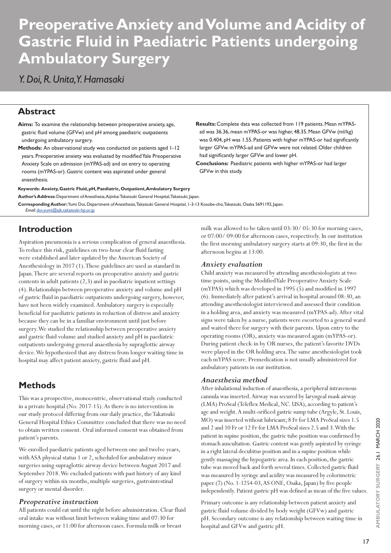# **Preoperative Anxiety and Volume and Acidity of Gastric Fluid in Paediatric Patients undergoing Ambulatory Surgery**

# *Y. Doi, R. Unita, Y. Hamasaki*

## **Abstract**

**Aims:** To examine the relationship between preoperative anxiety, age, gastric fluid volume (GFVw) and pH among paediatric outpatients undergoing ambulatory surgery.

**Methods:** An observational study was conducted on patients aged 1-12 years. Preoperative anxiety was evaluated by modified Yale Preoperative Anxiety Scale on admission (mYPAS-ad) and on entry to operating rooms (mYPAS-or). Gastric content was aspirated under general anaesthesia.

**Keywords: Anxiety, Gastric Fluid, pH, Paediatric, Outpatient, Ambulatory Surgery Author's Address:** Department of Anesthesia, Aijinkai Takatsuki General Hospital, Takatsuki, Japan.

**Corresponding Author:** Yumi Doi, Department of Anesthesia, Takatsuki General Hospital, 1-3-13 Kosobe-cho, Takatsuki, Osaka 5691192, Japan. *Email:* doi.yumi@ajk.takatsuki-hp.or.jp

# **Introduction**

Aspiration pneumonia is a serious complication of general anaesthesia. To reduce this risk, guidelines on two-hour clear fluid fasting were established and later updated by the American Society of Anesthesiology in 2017 (1). These guidelines are used as standard in Japan. There are several reports on preoperative anxiety and gastric contents in adult patients (2,3) and in paediatric inpatient settings (4). Relationships between preoperative anxiety and volume and pH of gastric fluid in paediatric outpatients undergoing surgery, however, have not been widely examined. Ambulatory surgery is especially beneficial for paediatric patients in reduction of distress and anxiety because they can be in a familiar environment until just before surgery. We studied the relationship between preoperative anxiety and gastric fluid volume and studied anxiety and pH in paediatric outpatients undergoing general anaesthesia by supraglottic airway device. We hypothesized that any distress from longer waiting time in hospital may affect patient anxiety, gastric fluid and pH.

# **Methods**

This was a prospective, monocentric, observational study conducted in a private hospital (No. 2017-15). As there is no intervention in our study protocol differing from our daily practice, the Takatsuki General Hospital Ethics Committee concluded that there was no need to obtain written consent. Oral informed consent was obtained from patient's parents.

We enrolled paediatric patients aged between one and twelve years, with ASA physical status 1 or 2, scheduled for ambulatory minor surgeries using supraglottic airway device between August 2017 and September 2018. We excluded patients with past history of any kind of surgery within six months, multiple surgeries, gastrointestinal surgery or mental disorder.

#### *Preoperative instruction*

All patients could eat until the night before administration. Clear fluid oral intake was without limit between waking time and 07:30 for morning cases, or 11:00 for afternoon cases. Formula milk or breast

**Results:** Complete data was collected from 119 patients. Mean mYPASad was 36.36, mean mYPAS-or was higher, 48.35. Mean GFVw (ml/kg) was 0.404, pH was 1.55. Patients with higher mYPAS-or had significantly larger GFVw. mYPAS-ad and GFVw were not related. Older children had significantly larger GFVw and lower pH.

**Conclusions:** Paediatric patients with higher mYPAS-or had larger GFVw in this study.

milk was allowed to be taken until 03:30/ 05:30 for morning cases, or 07:00/ 09:00 for afternoon cases, respectively. In our institution the first morning ambulatory surgery starts at 09:30, the first in the afternoon begins at 13:00.

#### *Anxiety evaluation*

Child anxiety was measured by attending anesthesiologists at two time points, using the Modified Yale Preoperative Anxiety Scale (mYPAS) which was developed in 1995 (5) and modified in 1997 (6). Immediately after patient's arrival in hospital around 08:30, an attending anesthesiologist interviewed and assessed their condition in a holding area, and anxiety was measured (mYPAS-ad). After vital signs were taken by a nurse, patients were escorted to a general ward and waited there for surgery with their parents. Upon entry to the operating rooms (OR), anxiety was measured again (mYPAS-or). During patient check-in by OR nurses, the patient's favorite DVDs were played in the OR holding area. The same anesthesiologist took each mYPAS score. Premedication is not usually administered for ambulatory patients in our institution.

#### *Anaesthesia method*

After inhalational induction of anaesthesia, a peripheral intravenous cannula was inserted. Airway was secured by laryngeal mask airway (LMA) ProSeal (Teleflex Medical, NC. USA), according to patient's age and weight. A multi-orificed gastric sump tube (Argyle, St. Louis, MO) was inserted without lubricant; 8 Fr for LMA ProSeal sizes 1.5 and 2 and 10 Fr or 12 Fr for LMA ProSeal sizes 2.5 and 3. With the patient in supine position, the gastric tube position was confirmed by stomach auscultation. Gastric content was gently aspirated by syringe in a right lateral decubitus position and in a supine position while gently massaging the hypogastric area. In each position, the gastric tube was moved back and forth several times. Collected gastric fluid was measured by syringe and acidity was measured by colorimetric paper (7) (No. 1-1254-03, AS ONE, Osaka, Japan) by five people independently. Patient gastric pH was defined as mean of the five values.

Primary outcome is any relationship between patient anxiety and gastric fluid volume divided by body weight (GFVw) and gastric pH. Secondary outcome is any relationship between waiting time in hospital and GFVw and gastric pH.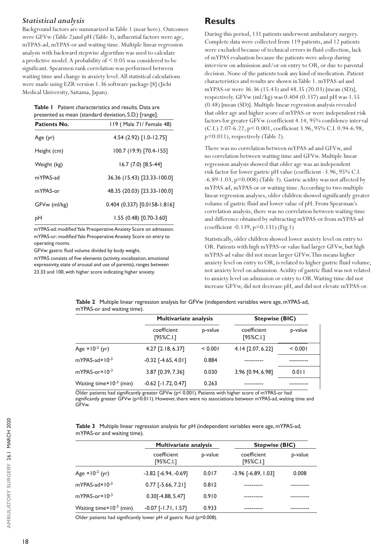#### *Statistical analysis*

Background factors are summarized in Table 1 (near here). Outcomes were GFVw (Table 2)and pH (Table 3), influential factors were age, mYPAS-ad, mYPAS-or and waiting time. Multiple linear regression analysis with backward stepwise algorithm was used to calculate a predictive model. A probability of < 0.05 was considered to be significant. Spearmen rank correlation was performed between waiting time and change in anxiety level. All statistical calculations were made using EZR version 1.36 software package [8] (Jichi Medical University, Saitama, Japan).

**Table 1** Patient characteristics and results. Data are presented as mean (standard deviation, S.D.) [range].

| Patients No. | 119 (Male 71/ Female 48)       |  |  |  |  |
|--------------|--------------------------------|--|--|--|--|
| Age (yr)     | $4.54(2.92)[1.0-12.75]$        |  |  |  |  |
| Height (cm)  | 100.7 (19.9) [70.4-155]        |  |  |  |  |
| Weight (kg)  | 16.7 (7.0) [8.5-44]            |  |  |  |  |
| mYPAS-ad     | 36.36 (15.43) [23.33-100.0]    |  |  |  |  |
| mYPAS-or     | 48.35 (20.03) [23.33-100.0]    |  |  |  |  |
| GFVw (ml/kg) | $0.404$ (0.337) [0.0158-1.816] |  |  |  |  |
| рH           | 1.55 (0.48) [0.70-3.60]        |  |  |  |  |

mYPAS-ad: modified Yale Preoperative Anxiety Score on admission. mYPAS-or: modified Yale Preoperative Anxiety Score on entry to operating rooms.

GFVw: gastric fluid volume divided by body weight.

mYPAS consists of five elements (activity, vocalization, emotional expressivity, state of arousal and use of parents), ranges between 23.33 and 100, with higher score indicating higher anxiety.

# **Results**

During this period, 131 patients underwent ambulatory surgery. Complete data were collected from 119 patients, and 12 patients were excluded because of technical errors in fluid collection, lack of mYPAS evaluation because the patients were asleep during interview on admission and/or on entry to OR, or due to parental decision. None of the patients took any kind of medication. Patient characteristics and results are shown in Table 1. mYPAS-ad and mYPAS-or were 36.36 (15.43) and 48.35 (20.03) [mean (SD)], respectively. GFVw (ml/kg) was 0.404 (0.337) and pH was 1.55 (0.48) [mean (SD)]. Multiple linear regression analysis revealed that older age and higher score of mYPAS-or were independent risk factors for greater GFVw (coefficient 4.14, 95% confidence interval (C.I.) 2.07-6.22, p< 0.001, coefficient 3.96, 95% C.I. 0.94-6.98, p=0.011), respectively (Table 2).

There was no correlation between mYPAS-ad and GFVw, and no correlation between waiting time and GFVw. Multiple linear regression analysis showed that older age was an independent risk factor for lower gastric pH value (coefficient -3.96, 95% C.I. -6.89-1.03, p=0.008) (Table 3). Gastric acidity was not affected by mYPAS-ad, mYPAS-or or waiting time. According to two multiple linear regression analyses, older children showed significantly greater volume of gastric fluid and lower value of pH. From Spearman's correlation analysis, there was no correlation between waiting time and difference obtained by subtracting mYPAS-or from mYPAS-ad (coefficient -0.139, p=0.131) (Fig.1)

Statistically, older children showed lower anxiety level on entry to OR. Patients with high mYPAS-or value had larger GFVw, but high mYPAS-ad value did not mean larger GFVw. This means higher anxiety level on entry to OR, is related to higher gastric fluid volume, not anxiety level on admission. Acidity of gastric fluid was not related to anxiety level on admission or entry to OR. Waiting time did not increase GFVw, did not decrease pH, and did not elevate mYPAS-or.

|                                              | <b>Multivariate analysis</b> |         | <b>Stepwise (BIC)</b>   |         |
|----------------------------------------------|------------------------------|---------|-------------------------|---------|
|                                              | coefficient<br>[95%C.1]      | p-value | coefficient<br>[95%C.1] | p-value |
| Age $\times$ 10 <sup>-2</sup> (yr)           | 4.27 [2.18, 6.37]            | < 0.001 | 4.14 [2.07, 6.22]       | < 0.001 |
| $mYPAS$ -ad $\times$ 10 <sup>-3</sup>        | $-0.32$ [ $-4.65, 4.01$ ]    | 0.884   |                         |         |
| mYPAS-or×10-3                                | 3.87 [0.39, 7.36]            | 0.030   | 3.96 [0.94, 6.98]       | 0.011   |
| Waiting time $\times$ 10 <sup>-3</sup> (min) | $-0.62$ [ $-1.72, 0.47$ ]    | 0.263   |                         |         |

**Table 2** Multiple linear regression analysis for GFVw (independent variables were age, mYPAS-ad, mYPAS-or and waiting time).

Older patients had significantly greater GFVw (p< 0.001). Patients with higher score of mYPAS-or had significantly greater GFVw (p=0.011). However, there were no associations between mYPAS-ad, waiting time and GFVw.

**Table 3** Multiple linear regression analysis for pH (independent variables were age, mYPAS-ad, mYPAS-or and waiting time).

|                                              | <b>Multivariate analysis</b>  |         | <b>Stepwise (BIC)</b>   |         |
|----------------------------------------------|-------------------------------|---------|-------------------------|---------|
|                                              | coefficient<br>[95%C.I.]      | p-value | coefficient<br>[95%C.1] | p-value |
| Age $\times$ 10 <sup>-2</sup> (yr)           | $-3.82$ [ $-6.94$ , $-0.69$ ] | 0.017   | $-3.96$ $[-6.89, 1.03]$ | 0.008   |
| mYPAS-ad×10-3                                | $0.77$ [-5.66, 7.21]          | 0.812   |                         |         |
| $mYPAS-orx10^{-3}$                           | $0.30$ [-4.88, 5.47]          | 0.910   |                         |         |
| Waiting time $\times$ 10 <sup>-3</sup> (min) | $-0.07$ [ $-1.71$ , $1.57$ ]  | 0.933   |                         |         |

Older patients had significantly lower pH of gastric fluid (p=0.008).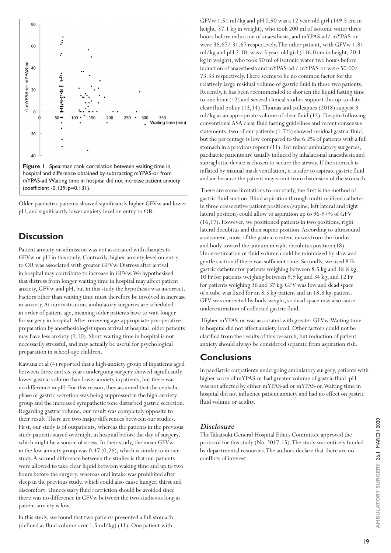

(coefficient -0.139, p=0.131).

Older paediatric patients showed significantly higher GFVw and lower pH, and significantly lower anxiety level on entry to OR.

## **Discussion**

Patient anxiety on admission was not associated with changes to GFVw or pH in this study. Contrarily, higher anxiety level on entry to OR was associated with greater GFVw. Distress after arrival in hospital may contribute to increase in GFVw. We hypothesized that distress from longer waiting time in hospital may affect patient anxiety, GFVw and pH, but in this study the hypothesis was incorrect. Factors other than waiting time must therefore be involved in increase in anxiety. At our institution, ambulatory surgeries are scheduled in order of patient age, meaning older patients have to wait longer for surgery in hospital. After receiving age-appropriate preoperative preparation by anesthesiologist upon arrival at hospital, older patients may have less anxiety (9,10). Short waiting time in hospital is not necessarily stressful, and may actually be useful for psychological preparation in school-age children.

Kawana et al (4) reported that a high-anxiety group of inpatients aged between three and six years undergoing surgery showed significantly lower gastric volume than lower anxiety inpatients, but there was no difference in pH. For this reason, they assumed that the cephalic phase of gastric secretion was being suppressed in the high-anxiety group and the increased sympathetic tone disturbed gastric secretion. Regarding gastric volume, our result was completely opposite to their result. There are two major differences between our studies. First, our study is of outpatients, whereas the patients in the previous study patients stayed overnight in hospital before the day of surgery, which might be a source of stress. In their study, the mean GFVw in the low anxiety group was 0.47 (0.26), which is similar to in our study. A second difference between the studies is that our patients were allowed to take clear liquid between waking time and up to two hours before the surgery, whereas oral intake was prohibited after sleep in the previous study, which could also cause hunger, thirst and discomfort. Unnecessary fluid restriction should be avoided since there was no difference in GFVw between the two studies as long as patient anxiety is low.

In this study, we found that two patients presented a full stomach (defined as fluid volume over 1.5 ml/kg) (11). One patient with

GFVw 1.51 ml/kg and pH 0.90 was a 12 year-old girl (149.5 cm in height, 37.1 kg in weight), who took 200 ml of isotonic water three hours before induction of anaesthesia, and mYPAS-ad/ mYPAS-or were 36.67/ 31.67 respectively. The other patient, with GFVw 1.81 ml/kg and pH 2.10, was a 5 year-old girl (116.0 cm in height, 20.1 kg in weight), who took 50 ml of isotonic water two hours before induction of anaesthesia and mYPAS-ad / mYPAS-or were 50.00/ 73.33 respectively. There seems to be no common factor for the relatively large residual volume of gastric fluid in these two patients. Recently, it has been recommended to shorten the liquid fasting time to one hour (12) and several clinical studies support this up-to-date clear fluid policy (13,14). Thomas and colleagues (2018) suggest 3 ml/kg as an appropriate volume of clear fluid (15). Despite following conventional ASA clear fluid fasting guidelines and recent consensus statements, two of our patients (1.7%) showed residual gastric fluid, but the percentage is low compared to the 6.2% of patients with a full stomach in a previous report (11). For minor ambulatory surgeries, paediatric patients are usually induced by inhalational anaesthesia and supraglottic device is chosen to secure the airway. If the stomach is inflated by manual mask ventilation, it is safer to aspirate gastric fluid and air because the patient may vomit from distension of the stomach.

 There are some limitations to our study, the first is the method of gastric fluid suction. Blind aspiration through multi-orificed catheter in three consecutive patient positions (supine, left lateral and right lateral position) could allow to aspiration up to 96-97% of GFV (16,17). However, we positioned patients in two positions, right lateral decubitus and then supine position. According to ultrasound assessment, most of the gastric content moves from the fundus and body toward the antrum in right decubitus position (18). Underestimation of fluid volume could be minimized by slow and gentle suction if there was sufficient time. Secondly, we used 8 Fr gastric catheter for patients weighing between 8.5 kg and 18.8 kg, 10 Fr for patients weighing between 9.9 kg and 34 kg, and 12 Fr for patients weighing 36 and 37 kg. GFV was low and dead space of a tube was fixed for an 8.5 kg-patient and an 18.8 kg-patient. GFV was corrected by body weight, so dead space may also cause underestimation of collected gastric fluid.

 Higher mYPAS-or was associated with greater GFVw. Waiting time in hospital did not affect anxiety level. Other factors could not be clarified from the results of this research, but reduction of patient anxiety should always be considered separate from aspiration risk.

### **Conclusions**

In paediatric outpatients undergoing ambulatory surgery, patients with higher score of mYPAS-or had greater volume of gastric fluid. pH was not affected by either mYPAS-ad or mYPAS-or. Waiting time in hospital did not influence patient anxiety and had no effect on gastric fluid volume or acidity.

#### *Disclosure*

The Takatsuki General Hospital Ethics Committee approved the protocol for this study (No. 2017-15). The study was entirely funded by departmental resources. The authors declare that there are no conflicts of interest.